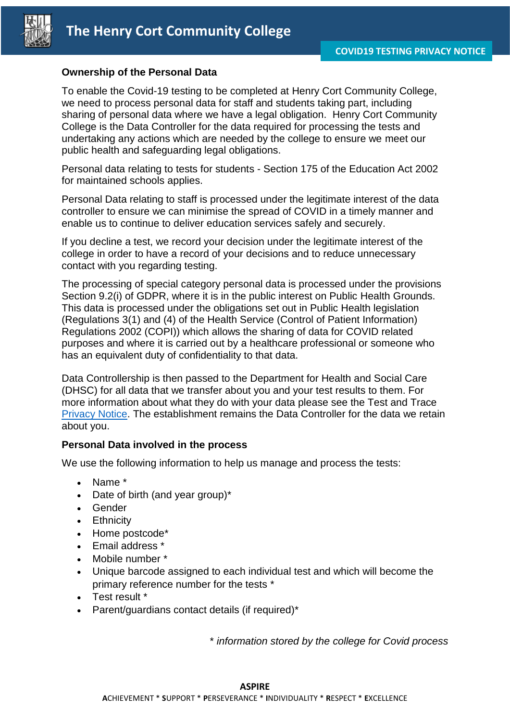

#### **Ownership of the Personal Data**

To enable the Covid-19 testing to be completed at Henry Cort Community College, we need to process personal data for staff and students taking part, including sharing of personal data where we have a legal obligation. Henry Cort Community College is the Data Controller for the data required for processing the tests and undertaking any actions which are needed by the college to ensure we meet our public health and safeguarding legal obligations.

Personal data relating to tests for students - Section 175 of the Education Act 2002 for maintained schools applies.

Personal Data relating to staff is processed under the legitimate interest of the data controller to ensure we can minimise the spread of COVID in a timely manner and enable us to continue to deliver education services safely and securely.

If you decline a test, we record your decision under the legitimate interest of the college in order to have a record of your decisions and to reduce unnecessary contact with you regarding testing.

The processing of special category personal data is processed under the provisions Section 9.2(i) of GDPR, where it is in the public interest on Public Health Grounds. This data is processed under the obligations set out in Public Health legislation (Regulations 3(1) and (4) of the Health Service (Control of Patient Information) Regulations 2002 (COPI)) which allows the sharing of data for COVID related purposes and where it is carried out by a healthcare professional or someone who has an equivalent duty of confidentiality to that data.

Data Controllership is then passed to the Department for Health and Social Care (DHSC) for all data that we transfer about you and your test results to them. For more information about what they do with your data please see the Test and Trace [Privacy Notice.](https://contact-tracing.phe.gov.uk/help/privacy-notice) The establishment remains the Data Controller for the data we retain about you.

#### **Personal Data involved in the process**

We use the following information to help us manage and process the tests:

- Name \*
- Date of birth (and year group)\*
- Gender
- Ethnicity
- Home postcode\*
- Email address \*
- Mobile number \*
- Unique barcode assigned to each individual test and which will become the primary reference number for the tests \*
- Test result \*
- Parent/guardians contact details (if required)\*

\* *information stored by the college for Covid process*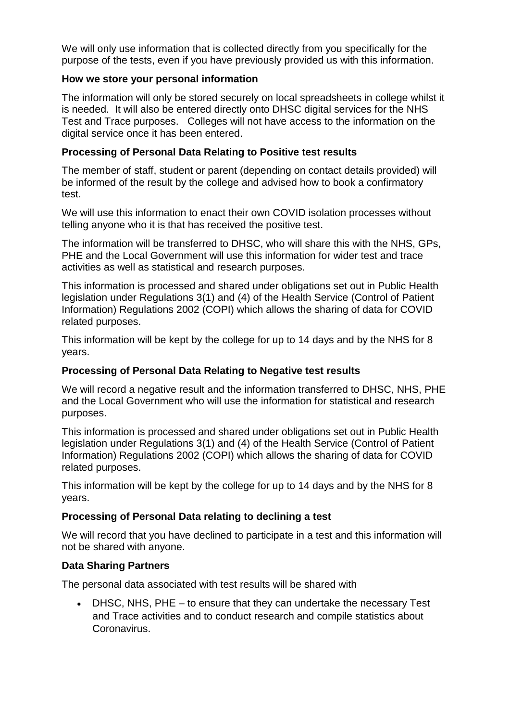We will only use information that is collected directly from you specifically for the purpose of the tests, even if you have previously provided us with this information.

#### **How we store your personal information**

The information will only be stored securely on local spreadsheets in college whilst it is needed. It will also be entered directly onto DHSC digital services for the NHS Test and Trace purposes. Colleges will not have access to the information on the digital service once it has been entered.

## **Processing of Personal Data Relating to Positive test results**

The member of staff, student or parent (depending on contact details provided) will be informed of the result by the college and advised how to book a confirmatory test.

We will use this information to enact their own COVID isolation processes without telling anyone who it is that has received the positive test.

The information will be transferred to DHSC, who will share this with the NHS, GPs, PHE and the Local Government will use this information for wider test and trace activities as well as statistical and research purposes.

This information is processed and shared under obligations set out in Public Health legislation under Regulations 3(1) and (4) of the Health Service (Control of Patient Information) Regulations 2002 (COPI) which allows the sharing of data for COVID related purposes.

This information will be kept by the college for up to 14 days and by the NHS for 8 years.

#### **Processing of Personal Data Relating to Negative test results**

We will record a negative result and the information transferred to DHSC, NHS, PHE and the Local Government who will use the information for statistical and research purposes.

This information is processed and shared under obligations set out in Public Health legislation under Regulations 3(1) and (4) of the Health Service (Control of Patient Information) Regulations 2002 (COPI) which allows the sharing of data for COVID related purposes.

This information will be kept by the college for up to 14 days and by the NHS for 8 years.

# **Processing of Personal Data relating to declining a test**

We will record that you have declined to participate in a test and this information will not be shared with anyone.

#### **Data Sharing Partners**

The personal data associated with test results will be shared with

 DHSC, NHS, PHE – to ensure that they can undertake the necessary Test and Trace activities and to conduct research and compile statistics about Coronavirus.